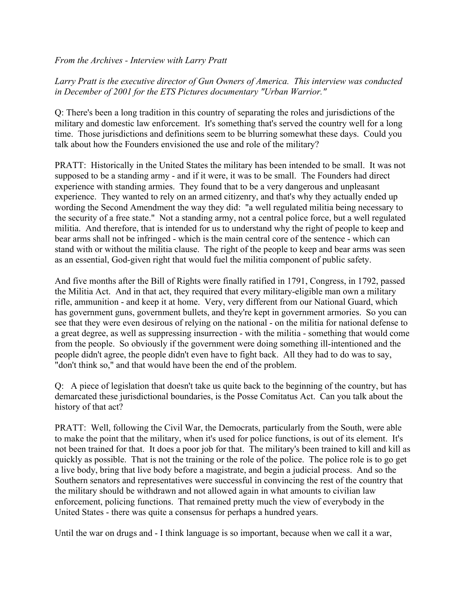*From the Archives - Interview with Larry Pratt*

## *Larry Pratt is the executive director of Gun Owners of America. This interview was conducted in December of 2001 for the ETS Pictures documentary "Urban Warrior."*

Q: There's been a long tradition in this country of separating the roles and jurisdictions of the military and domestic law enforcement. It's something that's served the country well for a long time. Those jurisdictions and definitions seem to be blurring somewhat these days. Could you talk about how the Founders envisioned the use and role of the military?

PRATT: Historically in the United States the military has been intended to be small. It was not supposed to be a standing army - and if it were, it was to be small. The Founders had direct experience with standing armies. They found that to be a very dangerous and unpleasant experience. They wanted to rely on an armed citizenry, and that's why they actually ended up wording the Second Amendment the way they did: "a well regulated militia being necessary to the security of a free state." Not a standing army, not a central police force, but a well regulated militia. And therefore, that is intended for us to understand why the right of people to keep and bear arms shall not be infringed - which is the main central core of the sentence - which can stand with or without the militia clause. The right of the people to keep and bear arms was seen as an essential, God-given right that would fuel the militia component of public safety.

And five months after the Bill of Rights were finally ratified in 1791, Congress, in 1792, passed the Militia Act. And in that act, they required that every military-eligible man own a military rifle, ammunition - and keep it at home. Very, very different from our National Guard, which has government guns, government bullets, and they're kept in government armories. So you can see that they were even desirous of relying on the national - on the militia for national defense to a great degree, as well as suppressing insurrection - with the militia - something that would come from the people. So obviously if the government were doing something ill-intentioned and the people didn't agree, the people didn't even have to fight back. All they had to do was to say, "don't think so," and that would have been the end of the problem.

Q: A piece of legislation that doesn't take us quite back to the beginning of the country, but has demarcated these jurisdictional boundaries, is the Posse Comitatus Act. Can you talk about the history of that act?

PRATT: Well, following the Civil War, the Democrats, particularly from the South, were able to make the point that the military, when it's used for police functions, is out of its element. It's not been trained for that. It does a poor job for that. The military's been trained to kill and kill as quickly as possible. That is not the training or the role of the police. The police role is to go get a live body, bring that live body before a magistrate, and begin a judicial process. And so the Southern senators and representatives were successful in convincing the rest of the country that the military should be withdrawn and not allowed again in what amounts to civilian law enforcement, policing functions. That remained pretty much the view of everybody in the United States - there was quite a consensus for perhaps a hundred years.

Until the war on drugs and - I think language is so important, because when we call it a war,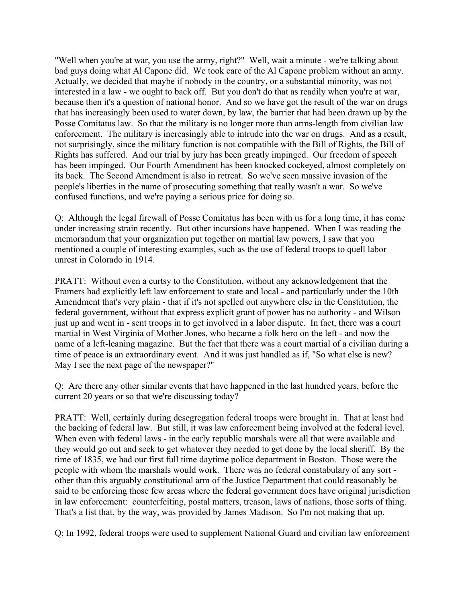"Well when you're at war, you use the army, right?" Well, wait a minute - we're talking about bad guys doing what Al Capone did. We took care of the Al Capone problem without an army. Actually, we decided that maybe if nobody in the country, or a substantial minority, was not interested in a law - we ought to back off. But you don't do that as readily when you're at war, because then it's a question of national honor. And so we have got the result of the war on drugs that has increasingly been used to water down, by law, the barrier that had been drawn up by the Posse Comitatus law. So that the military is no longer more than arms-length from civilian law enforcement. The military is increasingly able to intrude into the war on drugs. And as a result, not surprisingly, since the military function is not compatible with the Bill of Rights, the Bill of Rights has suffered. And our trial by jury has been greatly impinged. Our freedom of speech has been impinged. Our Fourth Amendment has been knocked cockeyed, almost completely on its back. The Second Amendment is also in retreat. So we've seen massive invasion of the people's liberties in the name of prosecuting something that really wasn't a war. So we've confused functions, and we're paying a serious price for doing so.

Q: Although the legal firewall of Posse Comitatus has been with us for a long time, it has come under increasing strain recently. But other incursions have happened. When I was reading the memorandum that your organization put together on martial law powers, I saw that you mentioned a couple of interesting examples, such as the use of federal troops to quell labor unrest in Colorado in 1914.

PRATT: Without even a curtsy to the Constitution, without any acknowledgement that the Framers had explicitly left law enforcement to state and local - and particularly under the 10th Amendment that's very plain - that if it's not spelled out anywhere else in the Constitution, the federal government, without that express explicit grant of power has no authority - and Wilson just up and went in - sent troops in to get involved in a labor dispute. In fact, there was a court martial in West Virginia of Mother Jones, who became a folk hero on the left - and now the name of a left-leaning magazine. But the fact that there was a court martial of a civilian during a time of peace is an extraordinary event. And it was just handled as if, "So what else is new? May I see the next page of the newspaper?"

Q: Are there any other similar events that have happened in the last hundred years, before the current 20 years or so that we're discussing today?

PRATT: Well, certainly during desegregation federal troops were brought in. That at least had the backing of federal law. But still, it was law enforcement being involved at the federal level. When even with federal laws - in the early republic marshals were all that were available and they would go out and seek to get whatever they needed to get done by the local sheriff. By the time of 1835, we had our first full time daytime police department in Boston. Those were the people with whom the marshals would work. There was no federal constabulary of any sort other than this arguably constitutional arm of the Justice Department that could reasonably be said to be enforcing those few areas where the federal government does have original jurisdiction in law enforcement: counterfeiting, postal matters, treason, laws of nations, those sorts of thing. That's a list that, by the way, was provided by James Madison. So I'm not making that up.

Q: In 1992, federal troops were used to supplement National Guard and civilian law enforcement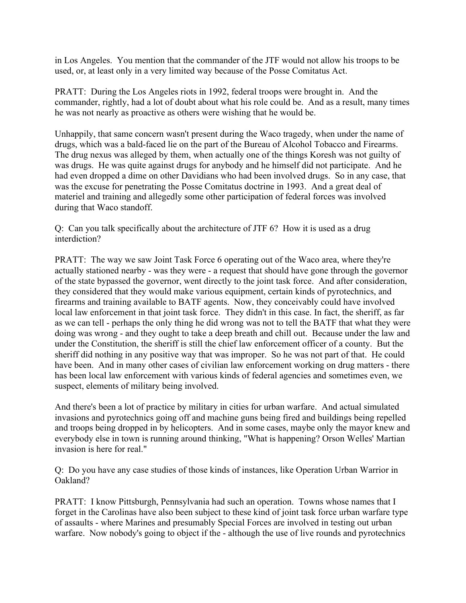in Los Angeles. You mention that the commander of the JTF would not allow his troops to be used, or, at least only in a very limited way because of the Posse Comitatus Act.

PRATT: During the Los Angeles riots in 1992, federal troops were brought in. And the commander, rightly, had a lot of doubt about what his role could be. And as a result, many times he was not nearly as proactive as others were wishing that he would be.

Unhappily, that same concern wasn't present during the Waco tragedy, when under the name of drugs, which was a bald-faced lie on the part of the Bureau of Alcohol Tobacco and Firearms. The drug nexus was alleged by them, when actually one of the things Koresh was not guilty of was drugs. He was quite against drugs for anybody and he himself did not participate. And he had even dropped a dime on other Davidians who had been involved drugs. So in any case, that was the excuse for penetrating the Posse Comitatus doctrine in 1993. And a great deal of materiel and training and allegedly some other participation of federal forces was involved during that Waco standoff.

Q: Can you talk specifically about the architecture of JTF 6? How it is used as a drug interdiction?

PRATT: The way we saw Joint Task Force 6 operating out of the Waco area, where they're actually stationed nearby - was they were - a request that should have gone through the governor of the state bypassed the governor, went directly to the joint task force. And after consideration, they considered that they would make various equipment, certain kinds of pyrotechnics, and firearms and training available to BATF agents. Now, they conceivably could have involved local law enforcement in that joint task force. They didn't in this case. In fact, the sheriff, as far as we can tell - perhaps the only thing he did wrong was not to tell the BATF that what they were doing was wrong - and they ought to take a deep breath and chill out. Because under the law and under the Constitution, the sheriff is still the chief law enforcement officer of a county. But the sheriff did nothing in any positive way that was improper. So he was not part of that. He could have been. And in many other cases of civilian law enforcement working on drug matters - there has been local law enforcement with various kinds of federal agencies and sometimes even, we suspect, elements of military being involved.

And there's been a lot of practice by military in cities for urban warfare. And actual simulated invasions and pyrotechnics going off and machine guns being fired and buildings being repelled and troops being dropped in by helicopters. And in some cases, maybe only the mayor knew and everybody else in town is running around thinking, "What is happening? Orson Welles' Martian invasion is here for real."

Q: Do you have any case studies of those kinds of instances, like Operation Urban Warrior in Oakland?

PRATT: I know Pittsburgh, Pennsylvania had such an operation. Towns whose names that I forget in the Carolinas have also been subject to these kind of joint task force urban warfare type of assaults - where Marines and presumably Special Forces are involved in testing out urban warfare. Now nobody's going to object if the - although the use of live rounds and pyrotechnics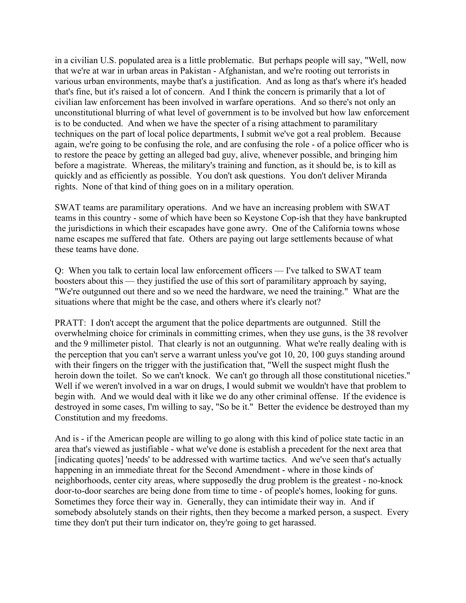in a civilian U.S. populated area is a little problematic. But perhaps people will say, "Well, now that we're at war in urban areas in Pakistan - Afghanistan, and we're rooting out terrorists in various urban environments, maybe that's a justification. And as long as that's where it's headed that's fine, but it's raised a lot of concern. And I think the concern is primarily that a lot of civilian law enforcement has been involved in warfare operations. And so there's not only an unconstitutional blurring of what level of government is to be involved but how law enforcement is to be conducted. And when we have the specter of a rising attachment to paramilitary techniques on the part of local police departments, I submit we've got a real problem. Because again, we're going to be confusing the role, and are confusing the role - of a police officer who is to restore the peace by getting an alleged bad guy, alive, whenever possible, and bringing him before a magistrate. Whereas, the military's training and function, as it should be, is to kill as quickly and as efficiently as possible. You don't ask questions. You don't deliver Miranda rights. None of that kind of thing goes on in a military operation.

SWAT teams are paramilitary operations. And we have an increasing problem with SWAT teams in this country - some of which have been so Keystone Cop-ish that they have bankrupted the jurisdictions in which their escapades have gone awry. One of the California towns whose name escapes me suffered that fate. Others are paying out large settlements because of what these teams have done.

Q: When you talk to certain local law enforcement officers –– I've talked to SWAT team boosters about this –– they justified the use of this sort of paramilitary approach by saying, "We're outgunned out there and so we need the hardware, we need the training." What are the situations where that might be the case, and others where it's clearly not?

PRATT: I don't accept the argument that the police departments are outgunned. Still the overwhelming choice for criminals in committing crimes, when they use guns, is the 38 revolver and the 9 millimeter pistol. That clearly is not an outgunning. What we're really dealing with is the perception that you can't serve a warrant unless you've got 10, 20, 100 guys standing around with their fingers on the trigger with the justification that, "Well the suspect might flush the heroin down the toilet. So we can't knock. We can't go through all those constitutional niceties." Well if we weren't involved in a war on drugs, I would submit we wouldn't have that problem to begin with. And we would deal with it like we do any other criminal offense. If the evidence is destroyed in some cases, I'm willing to say, "So be it." Better the evidence be destroyed than my Constitution and my freedoms.

And is - if the American people are willing to go along with this kind of police state tactic in an area that's viewed as justifiable - what we've done is establish a precedent for the next area that [indicating quotes] 'needs' to be addressed with wartime tactics. And we've seen that's actually happening in an immediate threat for the Second Amendment - where in those kinds of neighborhoods, center city areas, where supposedly the drug problem is the greatest - no-knock door-to-door searches are being done from time to time - of people's homes, looking for guns. Sometimes they force their way in. Generally, they can intimidate their way in. And if somebody absolutely stands on their rights, then they become a marked person, a suspect. Every time they don't put their turn indicator on, they're going to get harassed.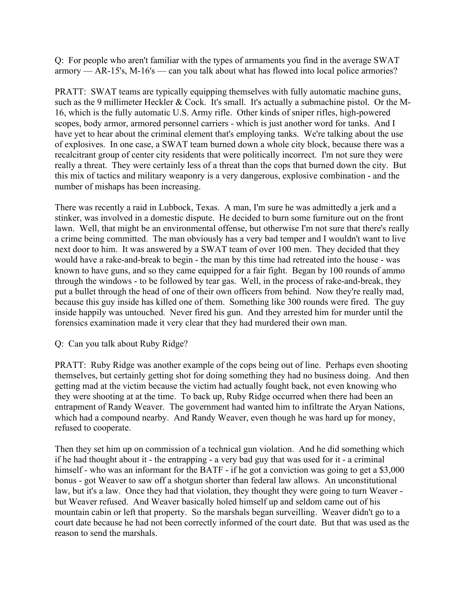Q: For people who aren't familiar with the types of armaments you find in the average SWAT armory –– AR-15's, M-16's –– can you talk about what has flowed into local police armories?

PRATT: SWAT teams are typically equipping themselves with fully automatic machine guns, such as the 9 millimeter Heckler & Cock. It's small. It's actually a submachine pistol. Or the M-16, which is the fully automatic U.S. Army rifle. Other kinds of sniper rifles, high-powered scopes, body armor, armored personnel carriers - which is just another word for tanks. And I have yet to hear about the criminal element that's employing tanks. We're talking about the use of explosives. In one case, a SWAT team burned down a whole city block, because there was a recalcitrant group of center city residents that were politically incorrect. I'm not sure they were really a threat. They were certainly less of a threat than the cops that burned down the city. But this mix of tactics and military weaponry is a very dangerous, explosive combination - and the number of mishaps has been increasing.

There was recently a raid in Lubbock, Texas. A man, I'm sure he was admittedly a jerk and a stinker, was involved in a domestic dispute. He decided to burn some furniture out on the front lawn. Well, that might be an environmental offense, but otherwise I'm not sure that there's really a crime being committed. The man obviously has a very bad temper and I wouldn't want to live next door to him. It was answered by a SWAT team of over 100 men. They decided that they would have a rake-and-break to begin - the man by this time had retreated into the house - was known to have guns, and so they came equipped for a fair fight. Began by 100 rounds of ammo through the windows - to be followed by tear gas. Well, in the process of rake-and-break, they put a bullet through the head of one of their own officers from behind. Now they're really mad, because this guy inside has killed one of them. Something like 300 rounds were fired. The guy inside happily was untouched. Never fired his gun. And they arrested him for murder until the forensics examination made it very clear that they had murdered their own man.

## Q: Can you talk about Ruby Ridge?

PRATT: Ruby Ridge was another example of the cops being out of line. Perhaps even shooting themselves, but certainly getting shot for doing something they had no business doing. And then getting mad at the victim because the victim had actually fought back, not even knowing who they were shooting at at the time. To back up, Ruby Ridge occurred when there had been an entrapment of Randy Weaver. The government had wanted him to infiltrate the Aryan Nations, which had a compound nearby. And Randy Weaver, even though he was hard up for money, refused to cooperate.

Then they set him up on commission of a technical gun violation. And he did something which if he had thought about it - the entrapping - a very bad guy that was used for it - a criminal himself - who was an informant for the BATF - if he got a conviction was going to get a \$3,000 bonus - got Weaver to saw off a shotgun shorter than federal law allows. An unconstitutional law, but it's a law. Once they had that violation, they thought they were going to turn Weaver but Weaver refused. And Weaver basically holed himself up and seldom came out of his mountain cabin or left that property. So the marshals began surveilling. Weaver didn't go to a court date because he had not been correctly informed of the court date. But that was used as the reason to send the marshals.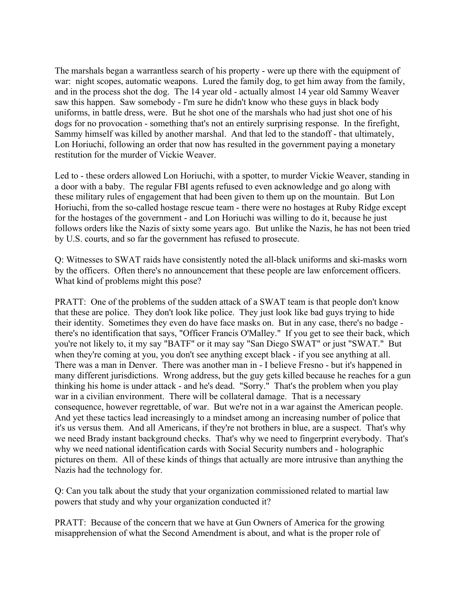The marshals began a warrantless search of his property - were up there with the equipment of war: night scopes, automatic weapons. Lured the family dog, to get him away from the family, and in the process shot the dog. The 14 year old - actually almost 14 year old Sammy Weaver saw this happen. Saw somebody - I'm sure he didn't know who these guys in black body uniforms, in battle dress, were. But he shot one of the marshals who had just shot one of his dogs for no provocation - something that's not an entirely surprising response. In the firefight, Sammy himself was killed by another marshal. And that led to the standoff - that ultimately, Lon Horiuchi, following an order that now has resulted in the government paying a monetary restitution for the murder of Vickie Weaver.

Led to - these orders allowed Lon Horiuchi, with a spotter, to murder Vickie Weaver, standing in a door with a baby. The regular FBI agents refused to even acknowledge and go along with these military rules of engagement that had been given to them up on the mountain. But Lon Horiuchi, from the so-called hostage rescue team - there were no hostages at Ruby Ridge except for the hostages of the government - and Lon Horiuchi was willing to do it, because he just follows orders like the Nazis of sixty some years ago. But unlike the Nazis, he has not been tried by U.S. courts, and so far the government has refused to prosecute.

Q: Witnesses to SWAT raids have consistently noted the all-black uniforms and ski-masks worn by the officers. Often there's no announcement that these people are law enforcement officers. What kind of problems might this pose?

PRATT: One of the problems of the sudden attack of a SWAT team is that people don't know that these are police. They don't look like police. They just look like bad guys trying to hide their identity. Sometimes they even do have face masks on. But in any case, there's no badge there's no identification that says, "Officer Francis O'Malley." If you get to see their back, which you're not likely to, it my say "BATF" or it may say "San Diego SWAT" or just "SWAT." But when they're coming at you, you don't see anything except black - if you see anything at all. There was a man in Denver. There was another man in - I believe Fresno - but it's happened in many different jurisdictions. Wrong address, but the guy gets killed because he reaches for a gun thinking his home is under attack - and he's dead. "Sorry." That's the problem when you play war in a civilian environment. There will be collateral damage. That is a necessary consequence, however regrettable, of war. But we're not in a war against the American people. And yet these tactics lead increasingly to a mindset among an increasing number of police that it's us versus them. And all Americans, if they're not brothers in blue, are a suspect. That's why we need Brady instant background checks. That's why we need to fingerprint everybody. That's why we need national identification cards with Social Security numbers and - holographic pictures on them. All of these kinds of things that actually are more intrusive than anything the Nazis had the technology for.

Q: Can you talk about the study that your organization commissioned related to martial law powers that study and why your organization conducted it?

PRATT: Because of the concern that we have at Gun Owners of America for the growing misapprehension of what the Second Amendment is about, and what is the proper role of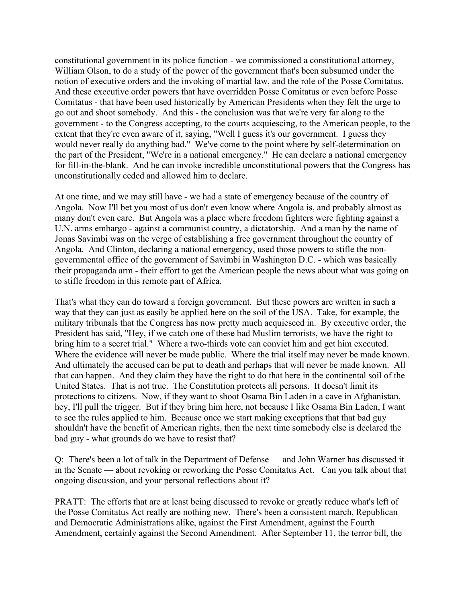constitutional government in its police function - we commissioned a constitutional attorney, William Olson, to do a study of the power of the government that's been subsumed under the notion of executive orders and the invoking of martial law, and the role of the Posse Comitatus. And these executive order powers that have overridden Posse Comitatus or even before Posse Comitatus - that have been used historically by American Presidents when they felt the urge to go out and shoot somebody. And this - the conclusion was that we're very far along to the government - to the Congress accepting, to the courts acquiescing, to the American people, to the extent that they're even aware of it, saying, "Well I guess it's our government. I guess they would never really do anything bad." We've come to the point where by self-determination on the part of the President, "We're in a national emergency." He can declare a national emergency for fill-in-the-blank. And he can invoke incredible unconstitutional powers that the Congress has unconstitutionally ceded and allowed him to declare.

At one time, and we may still have - we had a state of emergency because of the country of Angola. Now I'll bet you most of us don't even know where Angola is, and probably almost as many don't even care. But Angola was a place where freedom fighters were fighting against a U.N. arms embargo - against a communist country, a dictatorship. And a man by the name of Jonas Savimbi was on the verge of establishing a free government throughout the country of Angola. And Clinton, declaring a national emergency, used those powers to stifle the nongovernmental office of the government of Savimbi in Washington D.C. - which was basically their propaganda arm - their effort to get the American people the news about what was going on to stifle freedom in this remote part of Africa.

That's what they can do toward a foreign government. But these powers are written in such a way that they can just as easily be applied here on the soil of the USA. Take, for example, the military tribunals that the Congress has now pretty much acquiesced in. By executive order, the President has said, "Hey, if we catch one of these bad Muslim terrorists, we have the right to bring him to a secret trial." Where a two-thirds vote can convict him and get him executed. Where the evidence will never be made public. Where the trial itself may never be made known. And ultimately the accused can be put to death and perhaps that will never be made known. All that can happen. And they claim they have the right to do that here in the continental soil of the United States. That is not true. The Constitution protects all persons. It doesn't limit its protections to citizens. Now, if they want to shoot Osama Bin Laden in a cave in Afghanistan, hey, I'll pull the trigger. But if they bring him here, not because I like Osama Bin Laden, I want to see the rules applied to him. Because once we start making exceptions that that bad guy shouldn't have the benefit of American rights, then the next time somebody else is declared the bad guy - what grounds do we have to resist that?

Q: There's been a lot of talk in the Department of Defense –– and John Warner has discussed it in the Senate –– about revoking or reworking the Posse Comitatus Act. Can you talk about that ongoing discussion, and your personal reflections about it?

PRATT: The efforts that are at least being discussed to revoke or greatly reduce what's left of the Posse Comitatus Act really are nothing new. There's been a consistent march, Republican and Democratic Administrations alike, against the First Amendment, against the Fourth Amendment, certainly against the Second Amendment. After September 11, the terror bill, the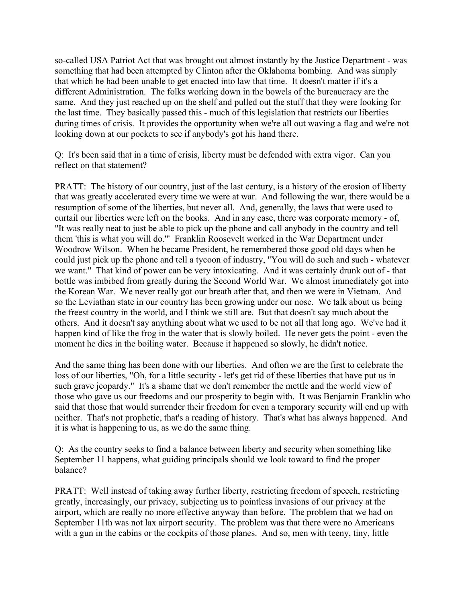so-called USA Patriot Act that was brought out almost instantly by the Justice Department - was something that had been attempted by Clinton after the Oklahoma bombing. And was simply that which he had been unable to get enacted into law that time. It doesn't matter if it's a different Administration. The folks working down in the bowels of the bureaucracy are the same. And they just reached up on the shelf and pulled out the stuff that they were looking for the last time. They basically passed this - much of this legislation that restricts our liberties during times of crisis. It provides the opportunity when we're all out waving a flag and we're not looking down at our pockets to see if anybody's got his hand there.

Q: It's been said that in a time of crisis, liberty must be defended with extra vigor. Can you reflect on that statement?

PRATT: The history of our country, just of the last century, is a history of the erosion of liberty that was greatly accelerated every time we were at war. And following the war, there would be a resumption of some of the liberties, but never all. And, generally, the laws that were used to curtail our liberties were left on the books. And in any case, there was corporate memory - of, "It was really neat to just be able to pick up the phone and call anybody in the country and tell them 'this is what you will do.'" Franklin Roosevelt worked in the War Department under Woodrow Wilson. When he became President, he remembered those good old days when he could just pick up the phone and tell a tycoon of industry, "You will do such and such - whatever we want." That kind of power can be very intoxicating. And it was certainly drunk out of - that bottle was imbibed from greatly during the Second World War. We almost immediately got into the Korean War. We never really got our breath after that, and then we were in Vietnam. And so the Leviathan state in our country has been growing under our nose. We talk about us being the freest country in the world, and I think we still are. But that doesn't say much about the others. And it doesn't say anything about what we used to be not all that long ago. We've had it happen kind of like the frog in the water that is slowly boiled. He never gets the point - even the moment he dies in the boiling water. Because it happened so slowly, he didn't notice.

And the same thing has been done with our liberties. And often we are the first to celebrate the loss of our liberties, "Oh, for a little security - let's get rid of these liberties that have put us in such grave jeopardy." It's a shame that we don't remember the mettle and the world view of those who gave us our freedoms and our prosperity to begin with. It was Benjamin Franklin who said that those that would surrender their freedom for even a temporary security will end up with neither. That's not prophetic, that's a reading of history. That's what has always happened. And it is what is happening to us, as we do the same thing.

Q: As the country seeks to find a balance between liberty and security when something like September 11 happens, what guiding principals should we look toward to find the proper balance?

PRATT: Well instead of taking away further liberty, restricting freedom of speech, restricting greatly, increasingly, our privacy, subjecting us to pointless invasions of our privacy at the airport, which are really no more effective anyway than before. The problem that we had on September 11th was not lax airport security. The problem was that there were no Americans with a gun in the cabins or the cockpits of those planes. And so, men with teeny, tiny, little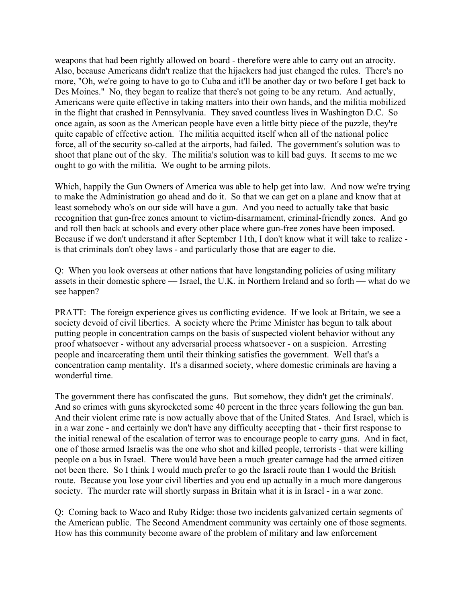weapons that had been rightly allowed on board - therefore were able to carry out an atrocity. Also, because Americans didn't realize that the hijackers had just changed the rules. There's no more, "Oh, we're going to have to go to Cuba and it'll be another day or two before I get back to Des Moines." No, they began to realize that there's not going to be any return. And actually, Americans were quite effective in taking matters into their own hands, and the militia mobilized in the flight that crashed in Pennsylvania. They saved countless lives in Washington D.C. So once again, as soon as the American people have even a little bitty piece of the puzzle, they're quite capable of effective action. The militia acquitted itself when all of the national police force, all of the security so-called at the airports, had failed. The government's solution was to shoot that plane out of the sky. The militia's solution was to kill bad guys. It seems to me we ought to go with the militia. We ought to be arming pilots.

Which, happily the Gun Owners of America was able to help get into law. And now we're trying to make the Administration go ahead and do it. So that we can get on a plane and know that at least somebody who's on our side will have a gun. And you need to actually take that basic recognition that gun-free zones amount to victim-disarmament, criminal-friendly zones. And go and roll then back at schools and every other place where gun-free zones have been imposed. Because if we don't understand it after September 11th, I don't know what it will take to realize is that criminals don't obey laws - and particularly those that are eager to die.

Q: When you look overseas at other nations that have longstanding policies of using military assets in their domestic sphere –– Israel, the U.K. in Northern Ireland and so forth –– what do we see happen?

PRATT: The foreign experience gives us conflicting evidence. If we look at Britain, we see a society devoid of civil liberties. A society where the Prime Minister has begun to talk about putting people in concentration camps on the basis of suspected violent behavior without any proof whatsoever - without any adversarial process whatsoever - on a suspicion. Arresting people and incarcerating them until their thinking satisfies the government. Well that's a concentration camp mentality. It's a disarmed society, where domestic criminals are having a wonderful time.

The government there has confiscated the guns. But somehow, they didn't get the criminals'. And so crimes with guns skyrocketed some 40 percent in the three years following the gun ban. And their violent crime rate is now actually above that of the United States. And Israel, which is in a war zone - and certainly we don't have any difficulty accepting that - their first response to the initial renewal of the escalation of terror was to encourage people to carry guns. And in fact, one of those armed Israelis was the one who shot and killed people, terrorists - that were killing people on a bus in Israel. There would have been a much greater carnage had the armed citizen not been there. So I think I would much prefer to go the Israeli route than I would the British route. Because you lose your civil liberties and you end up actually in a much more dangerous society. The murder rate will shortly surpass in Britain what it is in Israel - in a war zone.

Q: Coming back to Waco and Ruby Ridge: those two incidents galvanized certain segments of the American public. The Second Amendment community was certainly one of those segments. How has this community become aware of the problem of military and law enforcement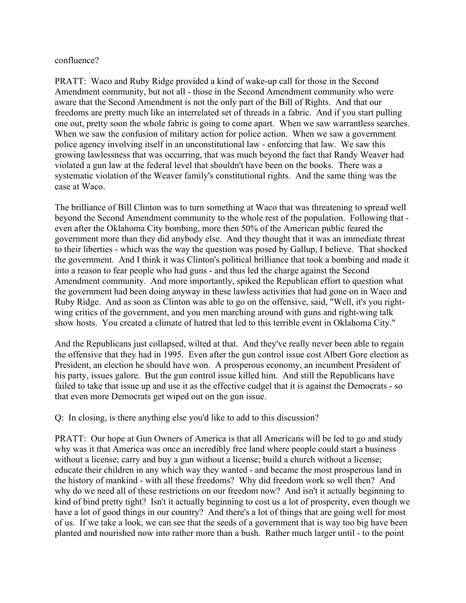## confluence?

PRATT: Waco and Ruby Ridge provided a kind of wake-up call for those in the Second Amendment community, but not all - those in the Second Amendment community who were aware that the Second Amendment is not the only part of the Bill of Rights. And that our freedoms are pretty much like an interrelated set of threads in a fabric. And if you start pulling one out, pretty soon the whole fabric is going to come apart. When we saw warrantless searches. When we saw the confusion of military action for police action. When we saw a government police agency involving itself in an unconstitutional law - enforcing that law. We saw this growing lawlessness that was occurring, that was much beyond the fact that Randy Weaver had violated a gun law at the federal level that shouldn't have been on the books. There was a systematic violation of the Weaver family's constitutional rights. And the same thing was the case at Waco.

The brilliance of Bill Clinton was to turn something at Waco that was threatening to spread well beyond the Second Amendment community to the whole rest of the population. Following that even after the Oklahoma City bombing, more then 50% of the American public feared the government more than they did anybody else. And they thought that it was an immediate threat to their liberties - which was the way the question was posed by Gallup, I believe. That shocked the government. And I think it was Clinton's political brilliance that took a bombing and made it into a reason to fear people who had guns - and thus led the charge against the Second Amendment community. And more importantly, spiked the Republican effort to question what the government had been doing anyway in these lawless activities that had gone on in Waco and Ruby Ridge. And as soon as Clinton was able to go on the offensive, said, "Well, it's you rightwing critics of the government, and you men marching around with guns and right-wing talk show hosts. You created a climate of hatred that led to this terrible event in Oklahoma City."

And the Republicans just collapsed, wilted at that. And they've really never been able to regain the offensive that they had in 1995. Even after the gun control issue cost Albert Gore election as President, an election he should have won. A prosperous economy, an incumbent President of his party, issues galore. But the gun control issue killed him. And still the Republicans have failed to take that issue up and use it as the effective cudgel that it is against the Democrats - so that even more Democrats get wiped out on the gun issue.

Q: In closing, is there anything else you'd like to add to this discussion?

PRATT: Our hope at Gun Owners of America is that all Americans will be led to go and study why was it that America was once an incredibly free land where people could start a business without a license; carry and buy a gun without a license; build a church without a license; educate their children in any which way they wanted - and became the most prosperous land in the history of mankind - with all these freedoms? Why did freedom work so well then? And why do we need all of these restrictions on our freedom now? And isn't it actually beginning to kind of bind pretty tight? Isn't it actually beginning to cost us a lot of prosperity, even though we have a lot of good things in our country? And there's a lot of things that are going well for most of us. If we take a look, we can see that the seeds of a government that is way too big have been planted and nourished now into rather more than a bush. Rather much larger until - to the point